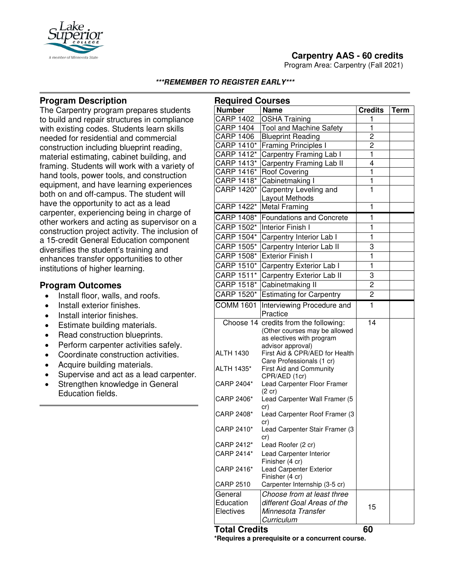

Program Area: Carpentry (Fall 2021)



#### **\*\*\*REMEMBER TO REGISTER EARLY\*\*\***

## **Program Description**

The Carpentry program prepares students to build and repair structures in compliance with existing codes. Students learn skills needed for residential and commercial construction including blueprint reading, material estimating, cabinet building, and framing. Students will work with a variety of hand tools, power tools, and construction equipment, and have learning experiences both on and off-campus. The student will have the opportunity to act as a lead carpenter, experiencing being in charge of other workers and acting as supervisor on a construction project activity. The inclusion of a 15-credit General Education component diversifies the student's training and enhances transfer opportunities to other institutions of higher learning.

# **Program Outcomes**

- Install floor, walls, and roofs.
- Install exterior finishes.
- Install interior finishes.
- Estimate building materials.
- Read construction blueprints.
- Perform carpenter activities safely.
- Coordinate construction activities.
- Acquire building materials.
- Supervise and act as a lead carpenter.
- Strengthen knowledge in General Education fields.

| <b>Required Courses</b> |                                                                                                     |                         |             |
|-------------------------|-----------------------------------------------------------------------------------------------------|-------------------------|-------------|
| <b>Number</b>           | <b>Name</b>                                                                                         | <b>Credits</b>          | <b>Term</b> |
| <b>CARP 1402</b>        | <b>OSHA Training</b>                                                                                | 1                       |             |
| <b>CARP 1404</b>        | <b>Tool and Machine Safety</b>                                                                      | $\overline{\mathbf{1}}$ |             |
| <b>CARP 1406</b>        | <b>Blueprint Reading</b>                                                                            | $\overline{c}$          |             |
| CARP 1410*              | <b>Framing Principles I</b>                                                                         | $\overline{2}$          |             |
| CARP 1412*              | Carpentry Framing Lab I                                                                             | ī                       |             |
| CARP 1413*              | Carpentry Framing Lab II                                                                            | $\overline{4}$          |             |
| CARP 1416*              | <b>Roof Covering</b>                                                                                | ī                       |             |
| CARP 1418*              | Cabinetmaking I                                                                                     | $\overline{\mathbf{1}}$ |             |
| CARP 1420*              | Carpentry Leveling and                                                                              | $\overline{1}$          |             |
|                         | Layout Methods                                                                                      |                         |             |
| CARP 1422*              | <b>Metal Framing</b>                                                                                | 1                       |             |
| CARP 1408*              | <b>Foundations and Concrete</b>                                                                     | 1                       |             |
| CARP 1502*              | <b>Interior Finish I</b>                                                                            | 1                       |             |
| CARP 1504*              | Carpentry Interior Lab I                                                                            | 1                       |             |
| CARP 1505*              | Carpentry Interior Lab II                                                                           | 3                       |             |
| CARP 1508*              | <b>Exterior Finish I</b>                                                                            | 1                       |             |
| CARP 1510*              | Carpentry Exterior Lab I                                                                            | 1                       |             |
| CARP 1511*              | Carpentry Exterior Lab II                                                                           | 3                       |             |
| CARP 1518*              | Cabinetmaking II                                                                                    | $\overline{2}$          |             |
| CARP 1520*              | <b>Estimating for Carpentry</b>                                                                     | $\overline{c}$          |             |
| <b>COMM 1601</b>        | Interviewing Procedure and                                                                          | $\mathbf{1}$            |             |
|                         | Practice                                                                                            |                         |             |
|                         | Choose 14 credits from the following:<br>(Other courses may be allowed<br>as electives with program | 14                      |             |
| <b>ALTH 1430</b>        | advisor approval)<br>First Aid & CPR/AED for Health<br>Care Professionals (1 cr)                    |                         |             |
| ALTH 1435*              | First Aid and Community<br>CPR/AED (1cr)                                                            |                         |             |
| CARP 2404*              | Lead Carpenter Floor Framer<br>$(2 \text{ cr})$                                                     |                         |             |
| CARP 2406*              | Lead Carpenter Wall Framer (5<br>cr)                                                                |                         |             |
| CARP 2408*              | Lead Carpenter Roof Framer (3<br>cr)                                                                |                         |             |
| CARP 2410*              | Lead Carpenter Stair Framer (3<br>cr)                                                               |                         |             |
| CARP 2412*              | Lead Roofer (2 cr)                                                                                  |                         |             |
| CARP 2414*              | Lead Carpenter Interior<br>Finisher (4 cr)                                                          |                         |             |
| CARP 2416*              | <b>Lead Carpenter Exterior</b><br>Finisher (4 cr)                                                   |                         |             |
| <b>CARP 2510</b>        | Carpenter Internship (3-5 cr)                                                                       |                         |             |
| General                 | Choose from at least three                                                                          |                         |             |
| Education               | different Goal Areas of the                                                                         | 15                      |             |
| Electives               | Minnesota Transfer<br>Curriculum                                                                    |                         |             |
|                         |                                                                                                     |                         |             |

**Total Credits 60**

**\*Requires a prerequisite or a concurrent course.**